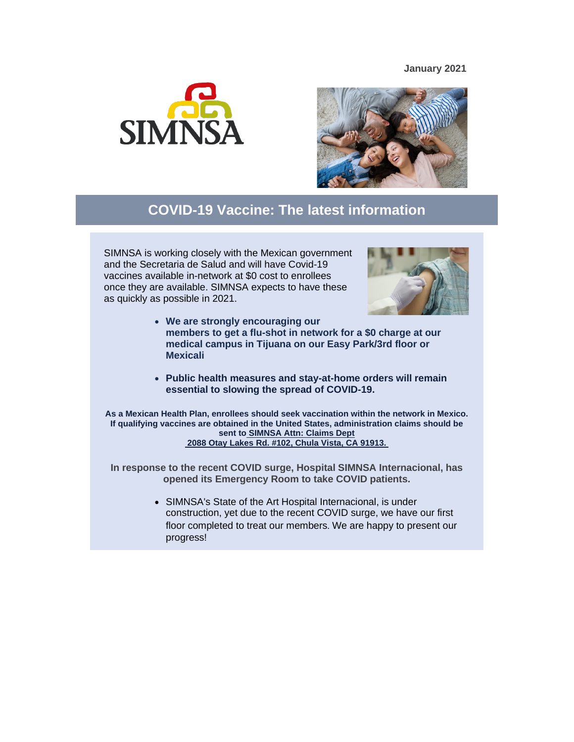## **January 2021**





## **COVID-19 Vaccine: The latest information**

SIMNSA is working closely with the Mexican government and the Secretaria de Salud and will have Covid-19 vaccines available in-network at \$0 cost to enrollees once they are available. SIMNSA expects to have these as quickly as possible in 2021.



- **We are strongly encouraging our members to get a flu-shot in network for a \$0 charge at our medical campus in Tijuana on our Easy Park/3rd floor or Mexicali**
- **Public health measures and stay-at-home orders will remain essential to slowing the spread of COVID-19.**

**As a Mexican Health Plan, enrollees should seek vaccination within the network in Mexico. If qualifying vaccines are obtained in the United States, administration claims should be sent to SIMNSA Attn: Claims Dept 2088 Otay Lakes Rd. #102, Chula Vista, CA 91913.**

**In response to the recent COVID surge, Hospital SIMNSA Internacional, has opened its Emergency Room to take COVID patients.** 

> • SIMNSA's State of the Art Hospital Internacional, is under construction, yet due to the recent COVID surge, we have our first floor completed to treat our members. We are happy to present our progress!